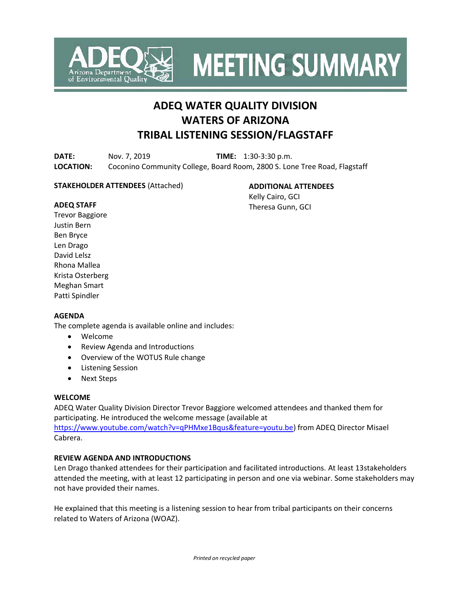

**MEETING SUMMARY** 

# **ADEQ WATER QUALITY DIVISION WATERS OF ARIZONA TRIBAL LISTENING SESSION/FLAGSTAFF**

**DATE:** Nov. 7, 2019 **TIME:** 1:30-3:30 p.m. **LOCATION:** Coconino Community College, Board Room, 2800 S. Lone Tree Road, Flagstaff

# **STAKEHOLDER ATTENDEES** (Attached)

**ADDITIONAL ATTENDEES** Kelly Cairo, GCI Theresa Gunn, GCI

### **ADEQ STAFF**

Trevor Baggiore Justin Bern Ben Bryce Len Drago David Lelsz Rhona Mallea Krista Osterberg Meghan Smart Patti Spindler

# **AGENDA**

The complete agenda is available online and includes:

- Welcome
- Review Agenda and Introductions
- Overview of the WOTUS Rule change
- Listening Session
- Next Steps

# **WELCOME**

ADEQ Water Quality Division Director Trevor Baggiore welcomed attendees and thanked them for participating. He introduced the welcome message (available at [https://www.youtube.com/watch?v=qPHMxe1Bqus&feature=youtu.be\)](https://www.youtube.com/watch?v=qPHMxe1Bqus&feature=youtu.be) from ADEQ Director Misael Cabrera.

# **REVIEW AGENDA AND INTRODUCTIONS**

Len Drago thanked attendees for their participation and facilitated introductions. At least 13stakeholders attended the meeting, with at least 12 participating in person and one via webinar. Some stakeholders may not have provided their names.

He explained that this meeting is a listening session to hear from tribal participants on their concerns related to Waters of Arizona (WOAZ).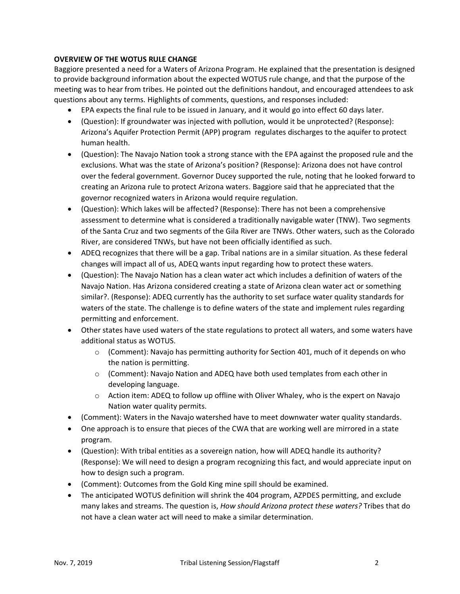# **OVERVIEW OF THE WOTUS RULE CHANGE**

Baggiore presented a need for a Waters of Arizona Program. He explained that the presentation is designed to provide background information about the expected WOTUS rule change, and that the purpose of the meeting was to hear from tribes. He pointed out the definitions handout, and encouraged attendees to ask questions about any terms. Highlights of comments, questions, and responses included:

- EPA expects the final rule to be issued in January, and it would go into effect 60 days later.
- (Question): If groundwater was injected with pollution, would it be unprotected? (Response): Arizona's Aquifer Protection Permit (APP) program regulates discharges to the aquifer to protect human health.
- (Question): The Navajo Nation took a strong stance with the EPA against the proposed rule and the exclusions. What was the state of Arizona's position? (Response): Arizona does not have control over the federal government. Governor Ducey supported the rule, noting that he looked forward to creating an Arizona rule to protect Arizona waters. Baggiore said that he appreciated that the governor recognized waters in Arizona would require regulation.
- (Question): Which lakes will be affected? (Response): There has not been a comprehensive assessment to determine what is considered a traditionally navigable water (TNW). Two segments of the Santa Cruz and two segments of the Gila River are TNWs. Other waters, such as the Colorado River, are considered TNWs, but have not been officially identified as such.
- ADEQ recognizes that there will be a gap. Tribal nations are in a similar situation. As these federal changes will impact all of us, ADEQ wants input regarding how to protect these waters.
- (Question): The Navajo Nation has a clean water act which includes a definition of waters of the Navajo Nation. Has Arizona considered creating a state of Arizona clean water act or something similar?. (Response): ADEQ currently has the authority to set surface water quality standards for waters of the state. The challenge is to define waters of the state and implement rules regarding permitting and enforcement.
- Other states have used waters of the state regulations to protect all waters, and some waters have additional status as WOTUS.
	- $\circ$  (Comment): Navajo has permitting authority for Section 401, much of it depends on who the nation is permitting.
	- $\circ$  (Comment): Navajo Nation and ADEQ have both used templates from each other in developing language.
	- $\circ$  Action item: ADEQ to follow up offline with Oliver Whaley, who is the expert on Navajo Nation water quality permits.
- (Comment): Waters in the Navajo watershed have to meet downwater water quality standards.
- One approach is to ensure that pieces of the CWA that are working well are mirrored in a state program.
- (Question): With tribal entities as a sovereign nation, how will ADEQ handle its authority? (Response): We will need to design a program recognizing this fact, and would appreciate input on how to design such a program.
- (Comment): Outcomes from the Gold King mine spill should be examined.
- The anticipated WOTUS definition will shrink the 404 program, AZPDES permitting, and exclude many lakes and streams. The question is, *How should Arizona protect these waters?* Tribes that do not have a clean water act will need to make a similar determination.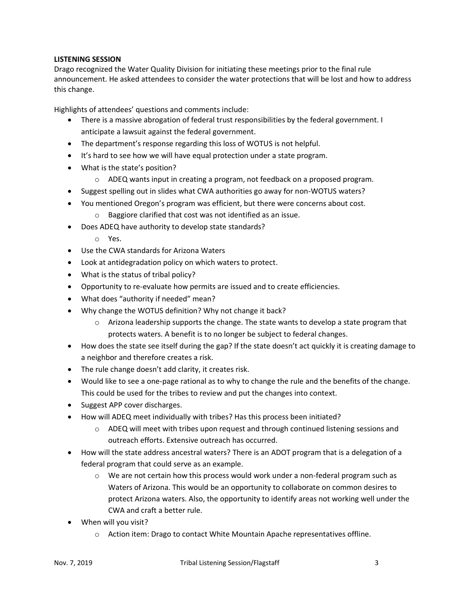# **LISTENING SESSION**

Drago recognized the Water Quality Division for initiating these meetings prior to the final rule announcement. He asked attendees to consider the water protections that will be lost and how to address this change.

Highlights of attendees' questions and comments include:

- There is a massive abrogation of federal trust responsibilities by the federal government. I anticipate a lawsuit against the federal government.
- The department's response regarding this loss of WOTUS is not helpful.
- It's hard to see how we will have equal protection under a state program.
- What is the state's position?
	- o ADEQ wants input in creating a program, not feedback on a proposed program.
- Suggest spelling out in slides what CWA authorities go away for non-WOTUS waters?
- You mentioned Oregon's program was efficient, but there were concerns about cost.
	- o Baggiore clarified that cost was not identified as an issue.
- Does ADEQ have authority to develop state standards?
	- o Yes.
- Use the CWA standards for Arizona Waters
- Look at antidegradation policy on which waters to protect.
- What is the status of tribal policy?
- Opportunity to re-evaluate how permits are issued and to create efficiencies.
- What does "authority if needed" mean?
- Why change the WOTUS definition? Why not change it back?
	- $\circ$  Arizona leadership supports the change. The state wants to develop a state program that protects waters. A benefit is to no longer be subject to federal changes.
- How does the state see itself during the gap? If the state doesn't act quickly it is creating damage to a neighbor and therefore creates a risk.
- The rule change doesn't add clarity, it creates risk.
- Would like to see a one-page rational as to why to change the rule and the benefits of the change. This could be used for the tribes to review and put the changes into context.
- Suggest APP cover discharges.
- How will ADEQ meet individually with tribes? Has this process been initiated?
	- o ADEQ will meet with tribes upon request and through continued listening sessions and outreach efforts. Extensive outreach has occurred.
- How will the state address ancestral waters? There is an ADOT program that is a delegation of a federal program that could serve as an example.
	- $\circ$  We are not certain how this process would work under a non-federal program such as Waters of Arizona. This would be an opportunity to collaborate on common desires to protect Arizona waters. Also, the opportunity to identify areas not working well under the CWA and craft a better rule.
- When will you visit?
	- $\circ$  Action item: Drago to contact White Mountain Apache representatives offline.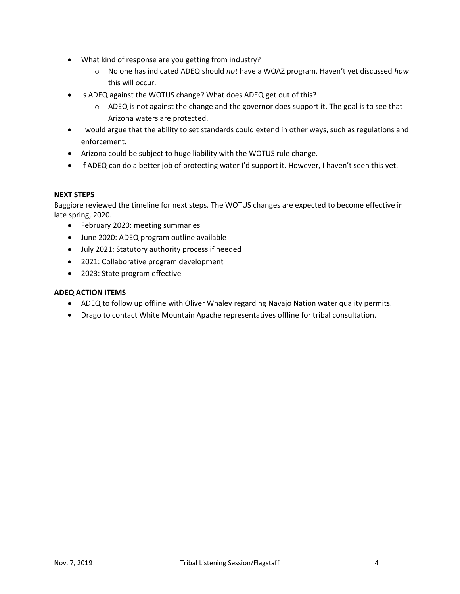- What kind of response are you getting from industry?
	- o No one has indicated ADEQ should *not* have a WOAZ program. Haven't yet discussed *how* this will occur.
- Is ADEQ against the WOTUS change? What does ADEQ get out of this?
	- $\circ$  ADEQ is not against the change and the governor does support it. The goal is to see that Arizona waters are protected.
- I would argue that the ability to set standards could extend in other ways, such as regulations and enforcement.
- Arizona could be subject to huge liability with the WOTUS rule change.
- If ADEQ can do a better job of protecting water I'd support it. However, I haven't seen this yet.

### **NEXT STEPS**

Baggiore reviewed the timeline for next steps. The WOTUS changes are expected to become effective in late spring, 2020.

- February 2020: meeting summaries
- June 2020: ADEQ program outline available
- July 2021: Statutory authority process if needed
- 2021: Collaborative program development
- 2023: State program effective

# **ADEQ ACTION ITEMS**

- ADEQ to follow up offline with Oliver Whaley regarding Navajo Nation water quality permits.
- Drago to contact White Mountain Apache representatives offline for tribal consultation.